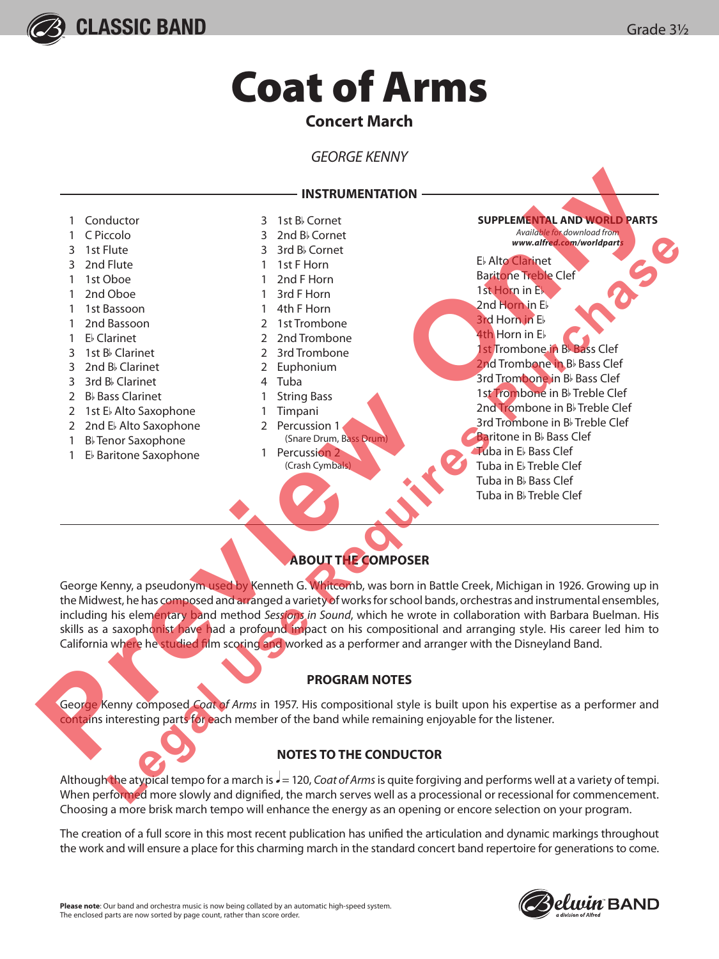

# Coat of Arms

## **Concert March**

*GEORGE KENNY*



## **ABOUT THE COMPOSER**

George Kenny, a pseudonym used by Kenneth G. Whitcomb, was born in Battle Creek, Michigan in 1926. Growing up in the Midwest, he has composed and arranged a variety of works for school bands, orchestras and instrumental ensembles, including his elementary band method *Sessions in Sound*, which he wrote in collaboration with Barbara Buelman. His skills as a saxophonist have had a profound impact on his compositional and arranging style. His career led him to California where he studied film scoring and worked as a performer and arranger with the Disneyland Band.

### **PROGRAM NOTES**

George Kenny composed *Coat of Arms* in 1957. His compositional style is built upon his expertise as a performer and contains interesting parts for each member of the band while remaining enjoyable for the listener.

### **NOTES TO THE CONDUCTOR**

Although the atypical tempo for a march is  $\ell = 120$ , *Coat of Arms* is quite forgiving and performs well at a variety of tempi. When performed more slowly and dignified, the march serves well as a processional or recessional for commencement. Choosing a more brisk march tempo will enhance the energy as an opening or encore selection on your program.

The creation of a full score in this most recent publication has unified the articulation and dynamic markings throughout the work and will ensure a place for this charming march in the standard concert band repertoire for generations to come.

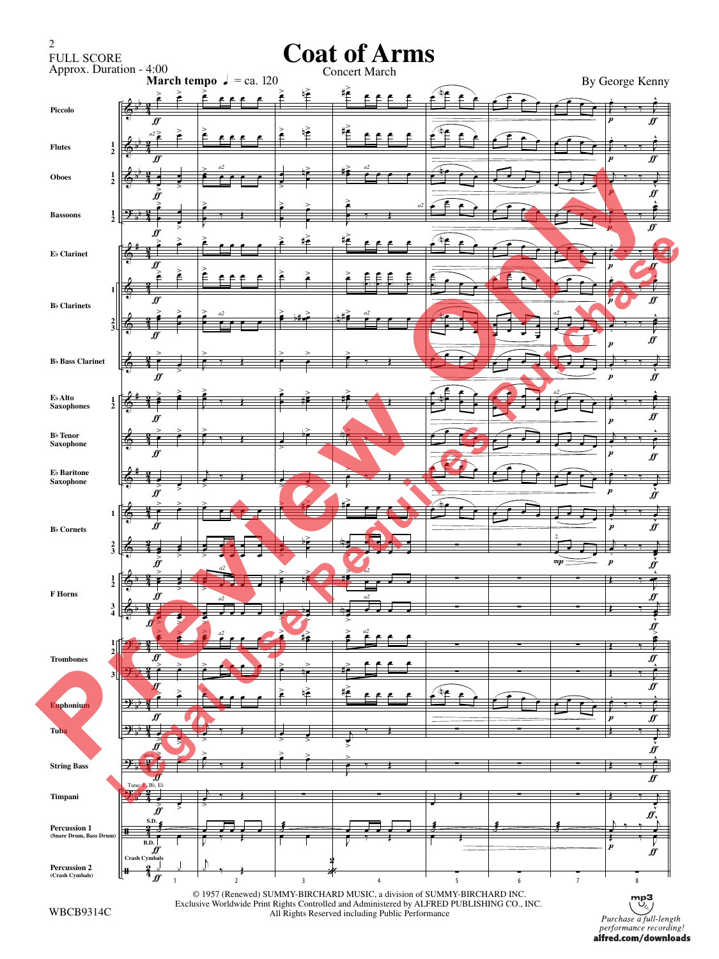| $\mathfrak{2}$<br><b>FULL SCORE</b><br>Approx. Duration - 4:00                                      |                     |                           |                |    |                                         |                                                  |   | <b>Coat of Arms</b><br><b>Concert March</b> |                |                                                                                             |   |                |                     |                                                                     |
|-----------------------------------------------------------------------------------------------------|---------------------|---------------------------|----------------|----|-----------------------------------------|--------------------------------------------------|---|---------------------------------------------|----------------|---------------------------------------------------------------------------------------------|---|----------------|---------------------|---------------------------------------------------------------------|
|                                                                                                     |                     |                           |                |    | <b>March tempo</b> $\sqrt{ }$ = ca. 120 |                                                  |   |                                             |                |                                                                                             |   |                |                     | By George Kenny                                                     |
|                                                                                                     |                     |                           |                |    |                                         |                                                  | 峌 |                                             |                |                                                                                             |   |                |                     |                                                                     |
| Piccolo                                                                                             |                     |                           |                |    |                                         |                                                  |   |                                             |                |                                                                                             |   |                |                     |                                                                     |
|                                                                                                     |                     |                           | ff             |    |                                         |                                                  |   |                                             |                |                                                                                             |   |                |                     | ff                                                                  |
| <b>Flutes</b>                                                                                       |                     |                           |                |    |                                         |                                                  | ⊫ |                                             |                |                                                                                             |   |                |                     |                                                                     |
|                                                                                                     | $\frac{1}{2}$       |                           | ff             |    |                                         |                                                  |   |                                             |                |                                                                                             |   |                | $\boldsymbol{\eta}$ | ff                                                                  |
| <b>Oboes</b>                                                                                        |                     |                           |                | a2 |                                         |                                                  |   |                                             |                |                                                                                             |   |                |                     |                                                                     |
|                                                                                                     | $\frac{1}{2}$       |                           |                |    |                                         |                                                  |   |                                             |                |                                                                                             |   |                |                     |                                                                     |
|                                                                                                     |                     |                           |                |    |                                         |                                                  |   |                                             |                |                                                                                             |   |                |                     | ff                                                                  |
| <b>Bassoons</b>                                                                                     |                     |                           |                |    |                                         |                                                  |   |                                             | a <sup>2</sup> |                                                                                             |   |                |                     |                                                                     |
|                                                                                                     | $\frac{1}{2}$       | $\mathbf{D}$              |                |    |                                         |                                                  |   |                                             |                |                                                                                             |   |                |                     | ff                                                                  |
| <b>E</b> b Clarinet                                                                                 |                     |                           |                |    |                                         |                                                  |   |                                             |                |                                                                                             |   |                |                     |                                                                     |
|                                                                                                     |                     |                           |                |    |                                         |                                                  |   |                                             |                |                                                                                             |   |                |                     |                                                                     |
|                                                                                                     |                     |                           |                |    |                                         |                                                  |   |                                             |                |                                                                                             |   |                |                     |                                                                     |
|                                                                                                     |                     |                           |                |    |                                         |                                                  |   |                                             |                |                                                                                             |   |                |                     |                                                                     |
|                                                                                                     | $\mathbf{1}$        |                           |                |    |                                         |                                                  |   |                                             |                |                                                                                             |   |                |                     |                                                                     |
| <b>B</b> b Clarinets                                                                                |                     |                           | fi             |    |                                         |                                                  |   |                                             |                |                                                                                             |   |                |                     | f f                                                                 |
|                                                                                                     |                     |                           |                | а2 |                                         |                                                  |   |                                             |                |                                                                                             |   |                |                     |                                                                     |
|                                                                                                     |                     |                           |                |    |                                         |                                                  |   |                                             |                |                                                                                             |   |                |                     | ∯                                                                   |
| <b>B</b> b Bass Clarinet                                                                            |                     |                           |                |    |                                         |                                                  |   |                                             |                |                                                                                             |   |                |                     |                                                                     |
|                                                                                                     |                     |                           |                |    |                                         |                                                  |   |                                             |                |                                                                                             |   |                |                     |                                                                     |
|                                                                                                     |                     |                           |                |    |                                         |                                                  |   |                                             |                |                                                                                             |   |                |                     |                                                                     |
| Eb Alto<br><b>Saxophones</b>                                                                        |                     |                           |                |    |                                         |                                                  |   |                                             |                |                                                                                             |   |                |                     |                                                                     |
|                                                                                                     | $\frac{1}{2}$       |                           |                |    |                                         |                                                  |   |                                             |                |                                                                                             |   |                |                     |                                                                     |
|                                                                                                     |                     |                           |                |    |                                         |                                                  |   |                                             |                |                                                                                             |   |                | $\boldsymbol{p}$    | ff                                                                  |
| <b>B</b> <sub>b</sub> Tenor<br><b>Saxophone</b>                                                     |                     |                           |                |    |                                         |                                                  |   |                                             |                |                                                                                             |   |                |                     |                                                                     |
|                                                                                                     |                     |                           |                |    |                                         |                                                  |   |                                             |                |                                                                                             |   |                |                     |                                                                     |
|                                                                                                     |                     |                           |                |    |                                         |                                                  |   |                                             |                |                                                                                             |   |                |                     | f f                                                                 |
| <b>E</b> b Baritone<br><b>Saxophone</b>                                                             |                     |                           |                |    |                                         |                                                  |   |                                             |                |                                                                                             |   |                |                     |                                                                     |
|                                                                                                     |                     |                           |                |    |                                         |                                                  |   |                                             |                |                                                                                             |   |                |                     |                                                                     |
| <b>B</b> b Cornets                                                                                  |                     |                           |                |    |                                         |                                                  |   |                                             |                |                                                                                             |   |                |                     |                                                                     |
|                                                                                                     | 1                   |                           |                |    |                                         |                                                  |   |                                             |                |                                                                                             |   |                |                     |                                                                     |
|                                                                                                     |                     |                           |                |    |                                         |                                                  |   |                                             |                |                                                                                             |   |                | $\boldsymbol{p}$    | ff                                                                  |
|                                                                                                     | $\frac{2}{3}$       |                           |                |    |                                         |                                                  |   |                                             |                |                                                                                             |   |                |                     |                                                                     |
|                                                                                                     |                     |                           |                |    |                                         |                                                  |   |                                             |                |                                                                                             |   | mp             | $\boldsymbol{p}$    |                                                                     |
|                                                                                                     |                     |                           |                |    |                                         |                                                  |   |                                             |                |                                                                                             |   |                |                     |                                                                     |
| F Horns                                                                                             | L<br>$\overline{2}$ |                           |                |    |                                         |                                                  |   |                                             |                |                                                                                             |   |                |                     |                                                                     |
|                                                                                                     |                     |                           |                | a2 |                                         |                                                  |   | a2                                          |                |                                                                                             |   |                |                     | 11                                                                  |
|                                                                                                     | 3<br>4              |                           |                |    |                                         |                                                  |   |                                             |                |                                                                                             |   |                |                     |                                                                     |
|                                                                                                     |                     |                           |                |    |                                         |                                                  |   |                                             |                |                                                                                             |   |                |                     |                                                                     |
| <b>Trombones</b>                                                                                    |                     |                           |                |    |                                         |                                                  |   |                                             |                |                                                                                             |   |                |                     |                                                                     |
|                                                                                                     |                     |                           |                |    |                                         |                                                  |   |                                             |                |                                                                                             |   |                |                     | ff                                                                  |
|                                                                                                     | $\mathbf{3}$        |                           |                |    |                                         |                                                  |   |                                             |                |                                                                                             |   |                |                     |                                                                     |
|                                                                                                     |                     |                           |                |    |                                         |                                                  |   |                                             |                |                                                                                             |   |                |                     | ff                                                                  |
|                                                                                                     |                     |                           |                |    |                                         |                                                  |   |                                             |                |                                                                                             |   |                |                     |                                                                     |
| Euphonium                                                                                           |                     | $9_+$                     | f f            |    |                                         |                                                  |   |                                             |                |                                                                                             |   |                |                     |                                                                     |
| Tuba                                                                                                |                     | $9 -$                     |                |    |                                         |                                                  |   |                                             |                |                                                                                             |   |                | $\boldsymbol{p}$    | ₩                                                                   |
|                                                                                                     |                     |                           |                |    |                                         |                                                  |   |                                             |                |                                                                                             |   |                |                     |                                                                     |
|                                                                                                     |                     |                           |                |    |                                         |                                                  |   |                                             |                |                                                                                             |   |                |                     |                                                                     |
| <b>String Bass</b>                                                                                  |                     |                           |                |    |                                         |                                                  |   |                                             |                |                                                                                             |   |                |                     |                                                                     |
|                                                                                                     |                     | Tune: P, Bb, Eb           | IJ             |    |                                         |                                                  |   |                                             |                |                                                                                             |   |                |                     |                                                                     |
| Timpani<br><b>Percussion 1</b><br>(Snare Drum, Bass Drum)<br><b>Percussion 2</b><br>(Crash Cymbals) |                     | $\bigoplus$               |                |    |                                         |                                                  |   |                                             |                |                                                                                             |   |                |                     |                                                                     |
|                                                                                                     |                     |                           | Ĩf             |    |                                         |                                                  |   |                                             |                |                                                                                             |   |                |                     |                                                                     |
|                                                                                                     |                     | S.D.                      |                |    |                                         |                                                  |   |                                             |                |                                                                                             |   |                |                     |                                                                     |
|                                                                                                     |                     | ⊞<br>B.D.                 |                |    |                                         |                                                  |   |                                             |                |                                                                                             |   |                |                     |                                                                     |
|                                                                                                     |                     |                           | IJ             |    |                                         |                                                  |   |                                             |                |                                                                                             |   |                | $\boldsymbol{p}$    | ff                                                                  |
|                                                                                                     |                     | <b>Crash Cymbals</b><br>9 |                |    |                                         |                                                  |   |                                             |                |                                                                                             |   |                |                     |                                                                     |
|                                                                                                     |                     | $4\frac{1}{f}$            | $\overline{1}$ |    | 2                                       | $\overline{3}$                                   |   | $\overline{4}$                              |                | 5                                                                                           | 6 | $\overline{7}$ |                     | $\bf 8$                                                             |
|                                                                                                     |                     |                           |                |    |                                         |                                                  |   |                                             |                | © 1957 (Renewed) SUMMY-BIRCHARD MUSIC, a division of SUMMY-BIRCHARD INC.                    |   |                |                     |                                                                     |
| WBCB9314C                                                                                           |                     |                           |                |    |                                         | All Rights Reserved including Public Performance |   |                                             |                | Exclusive Worldwide Print Rights Controlled and Administered by ALFRED PUBLISHING CO., INC. |   |                |                     | $\begin{bmatrix} m p3 \\ U \end{bmatrix}$<br>Purchase a full-length |

Purchase a full-length<br>performance recording!<br>**alfred.com/downloads**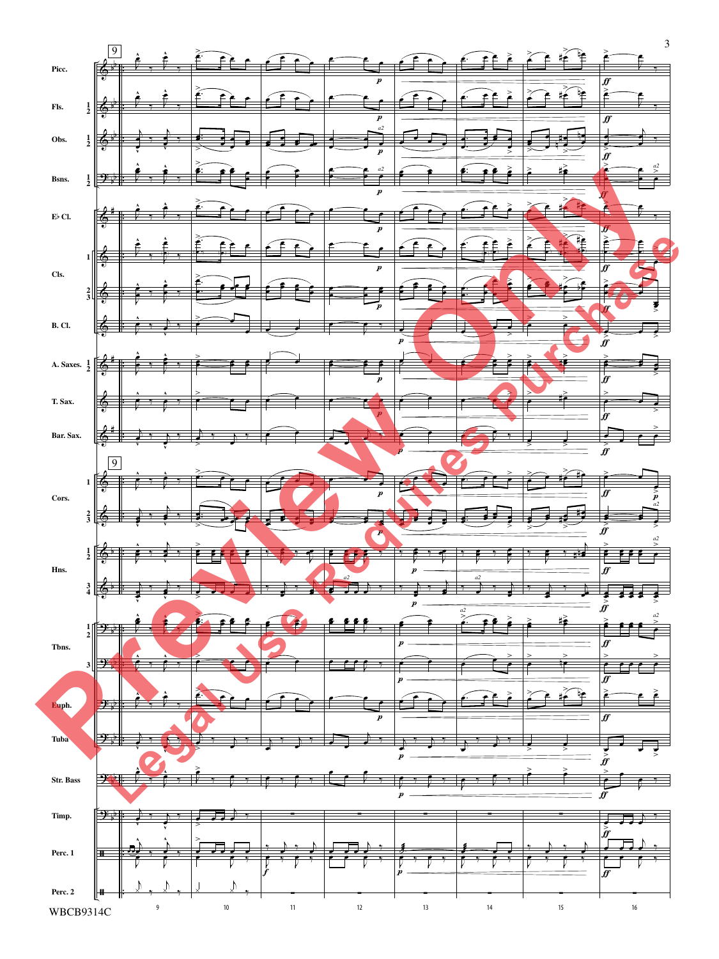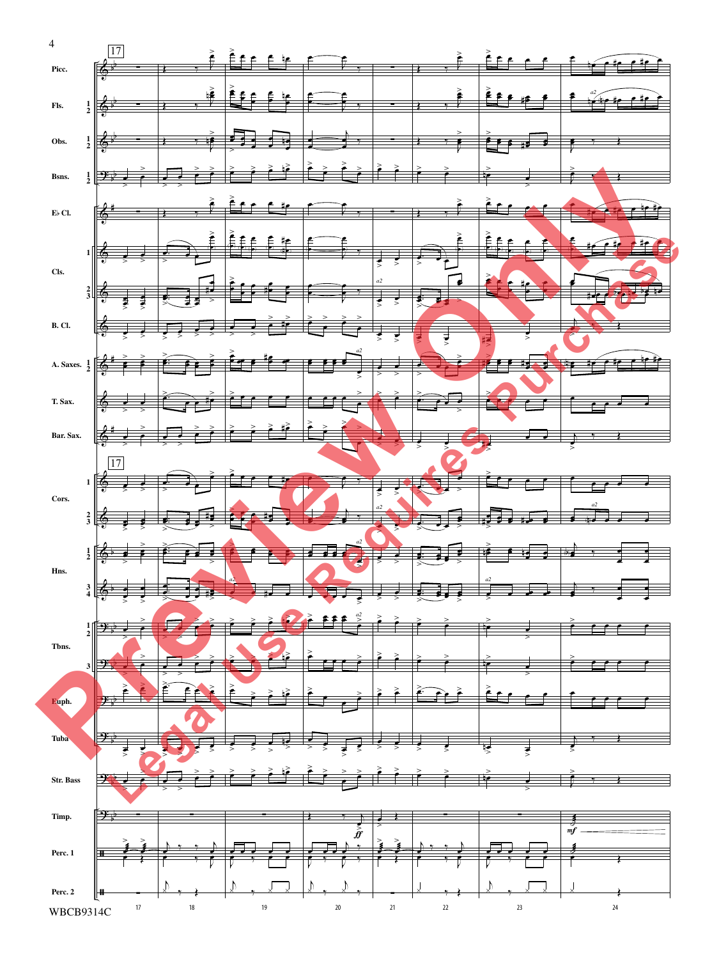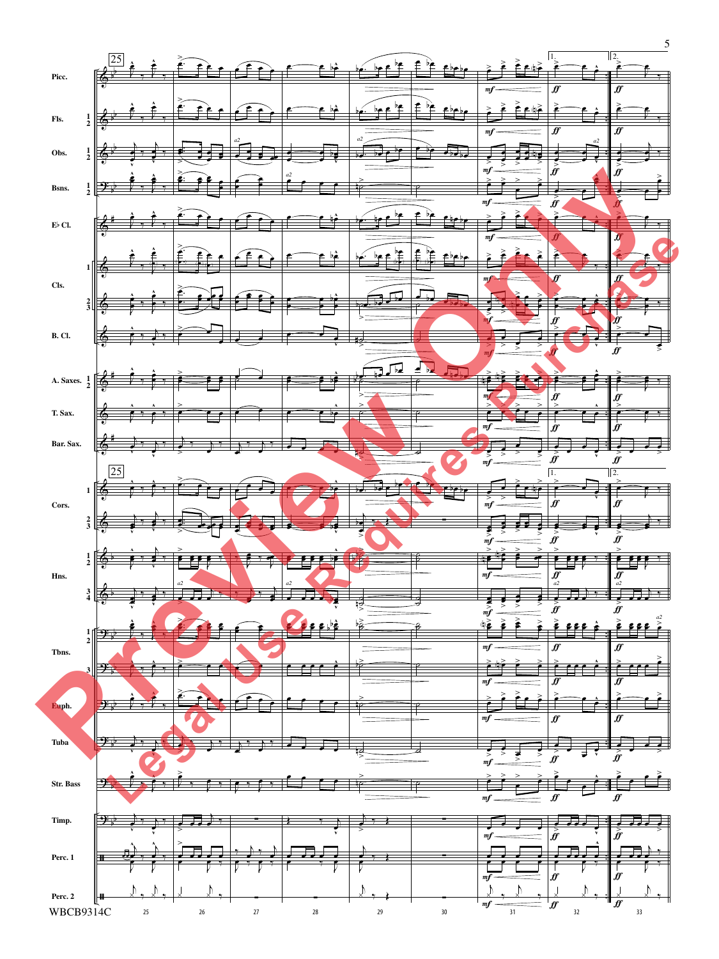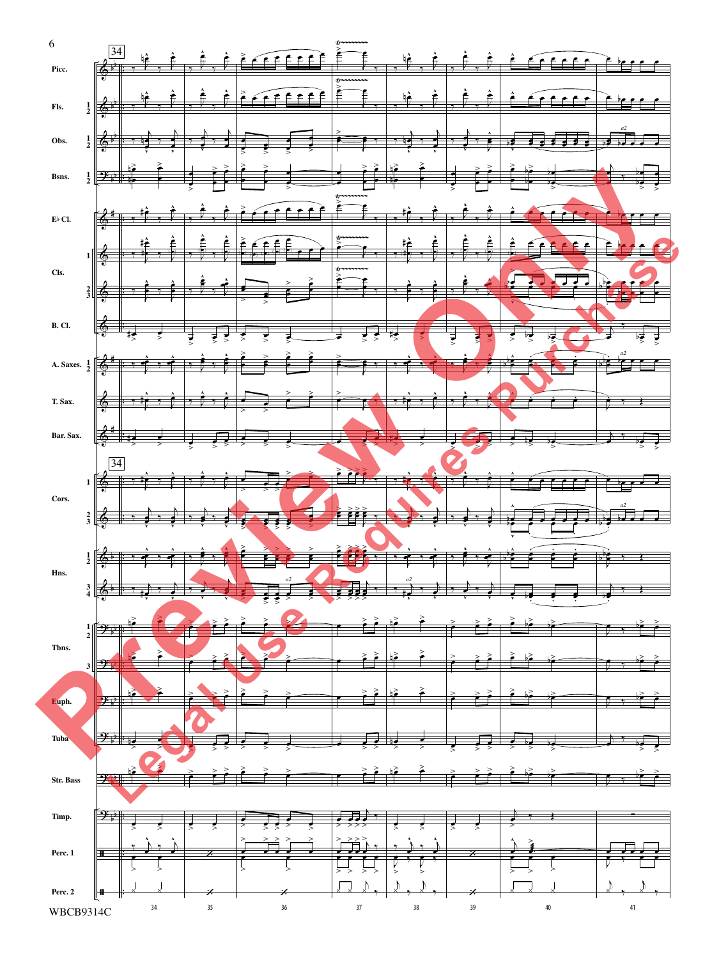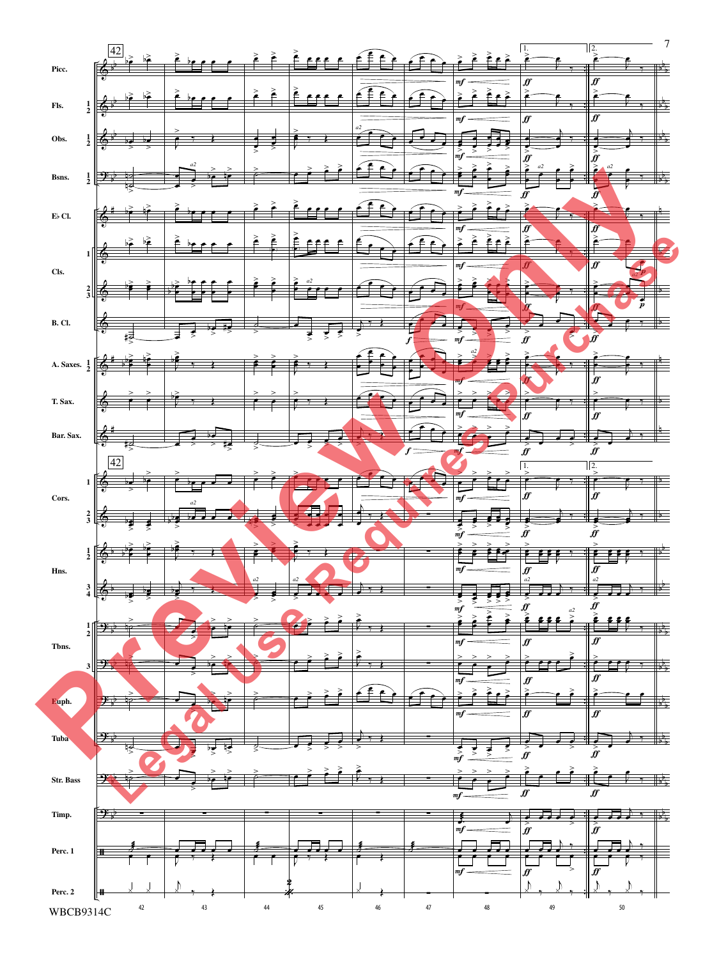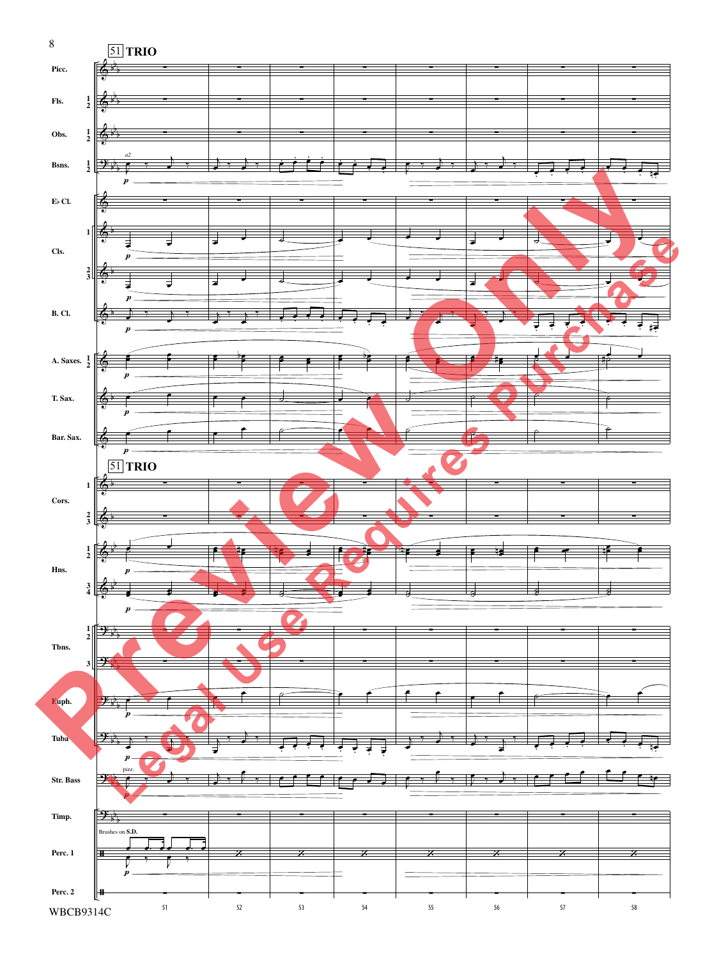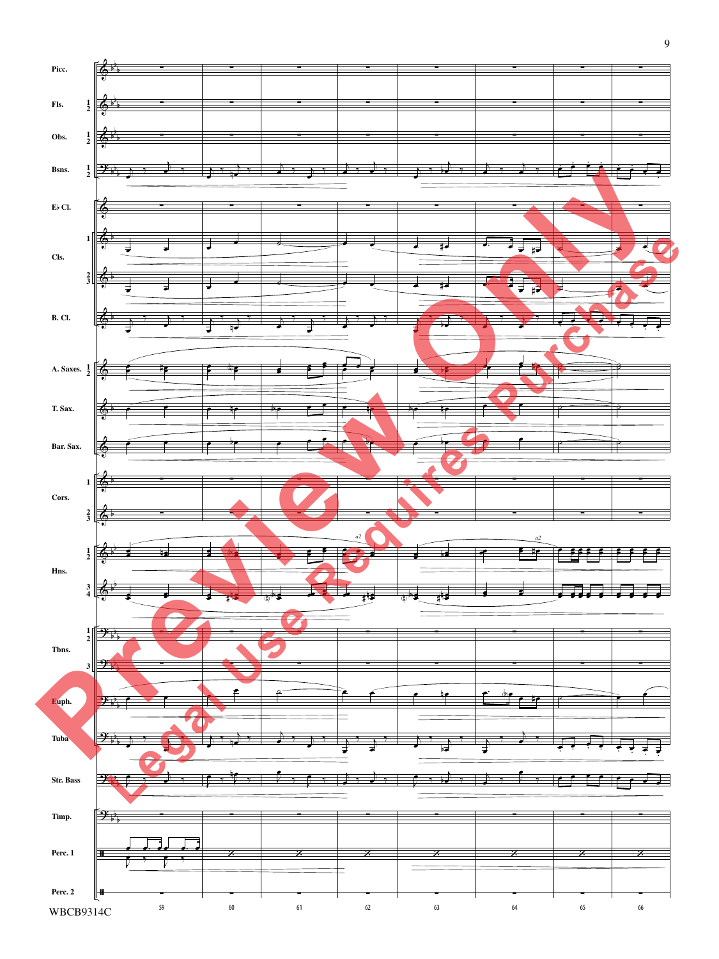

9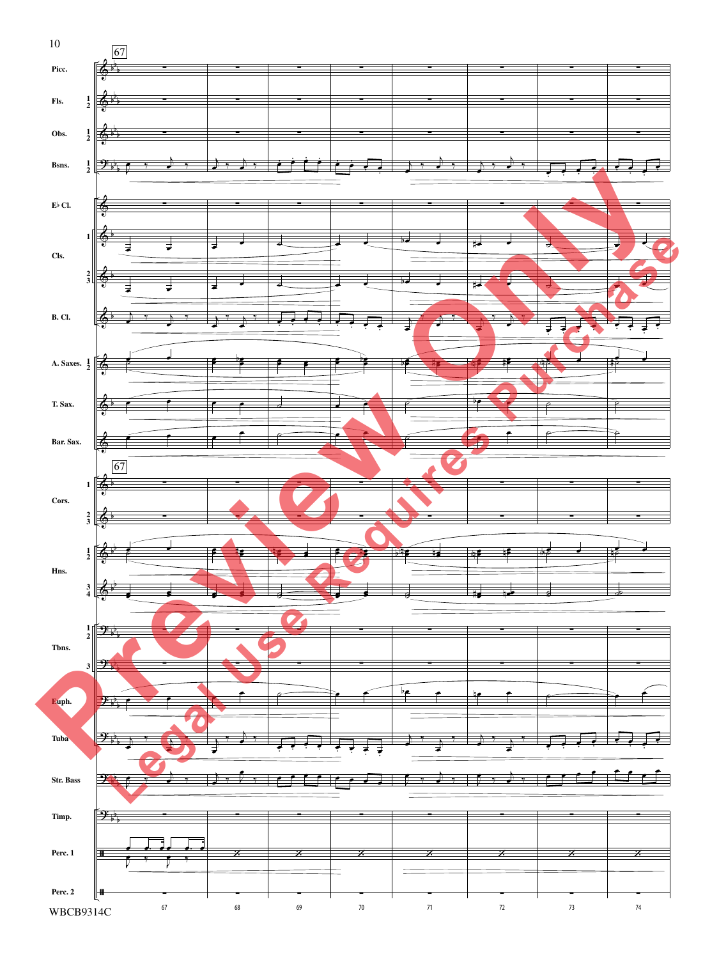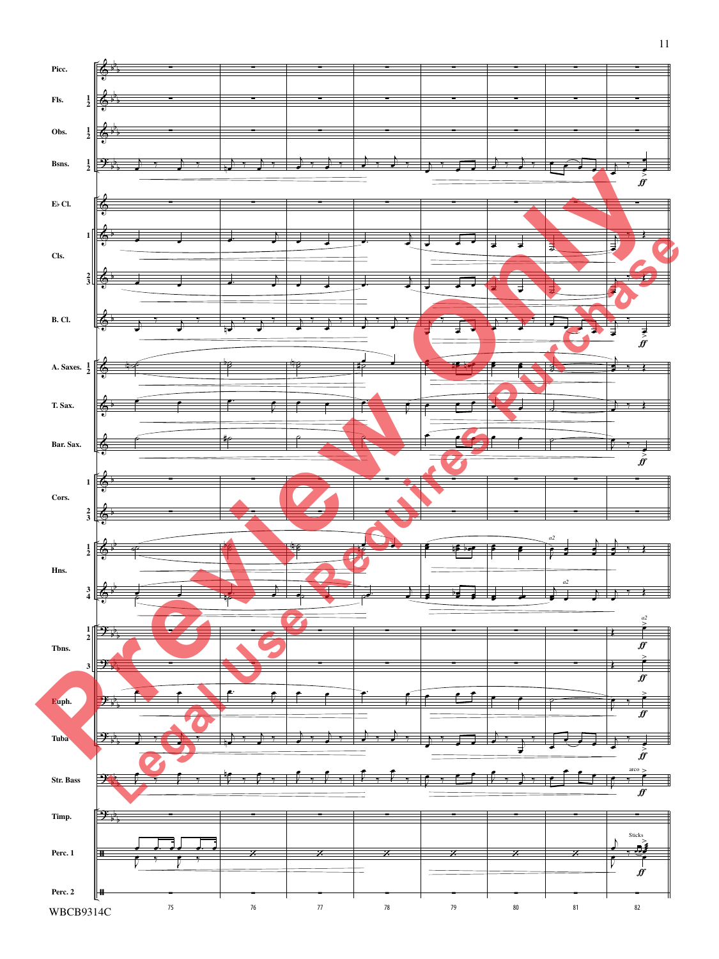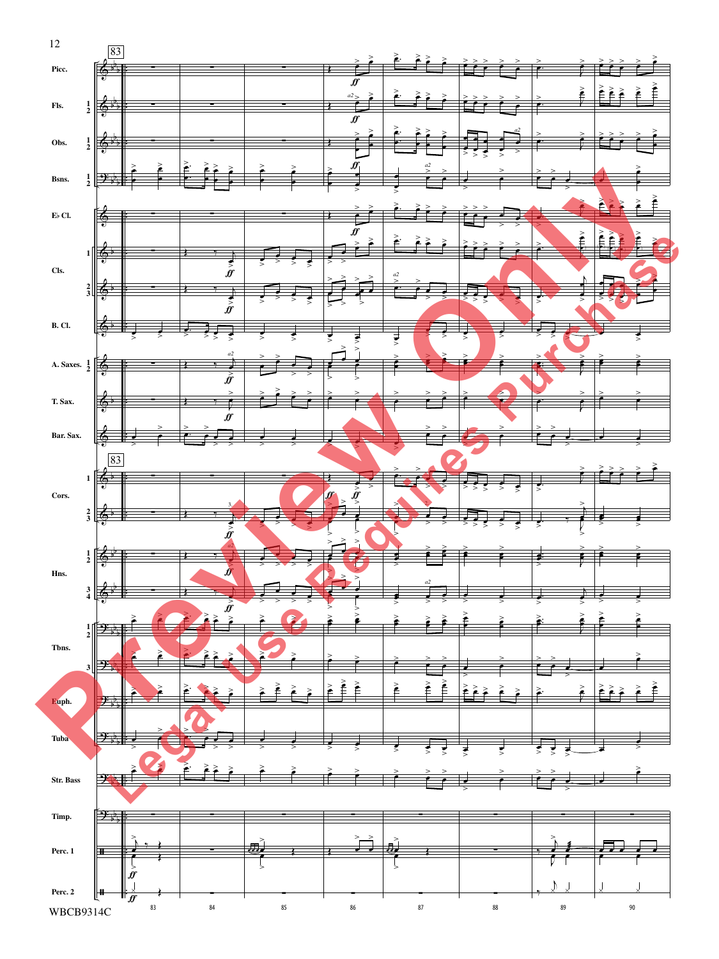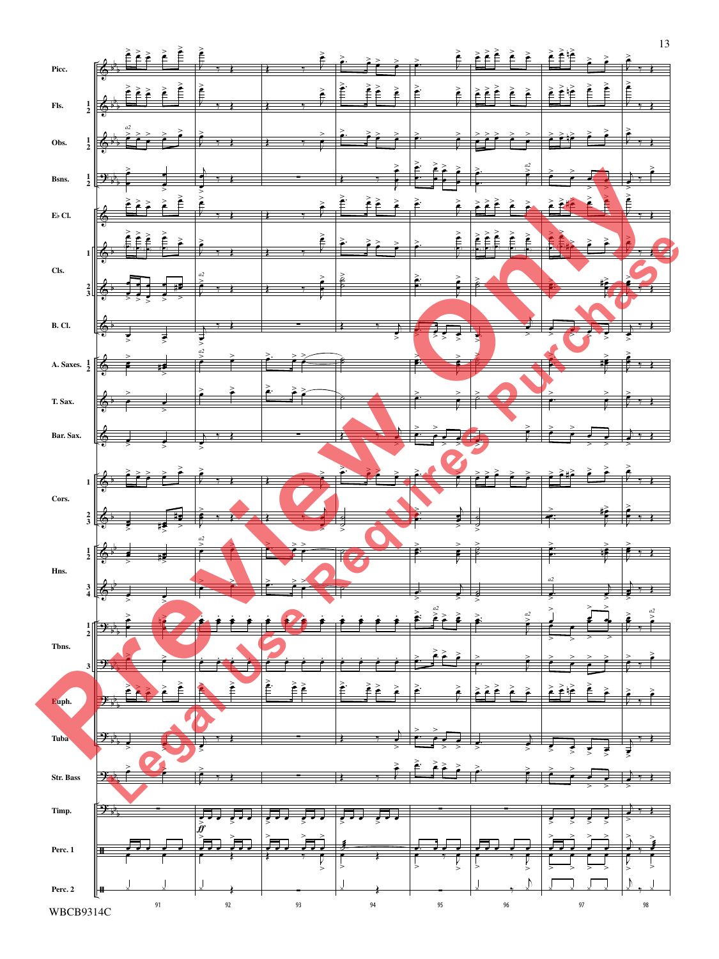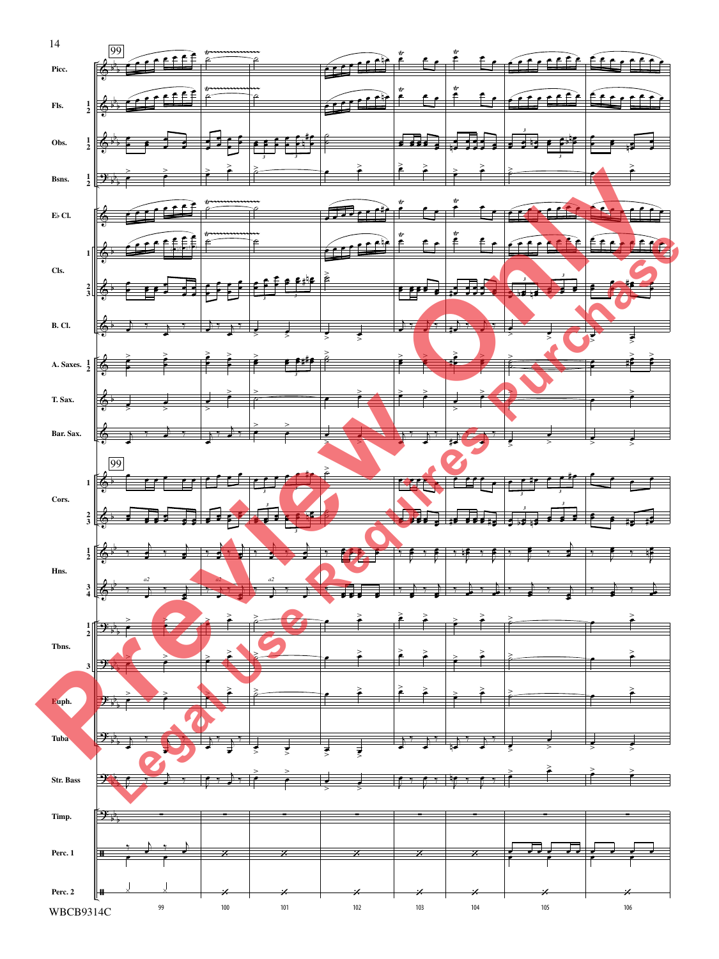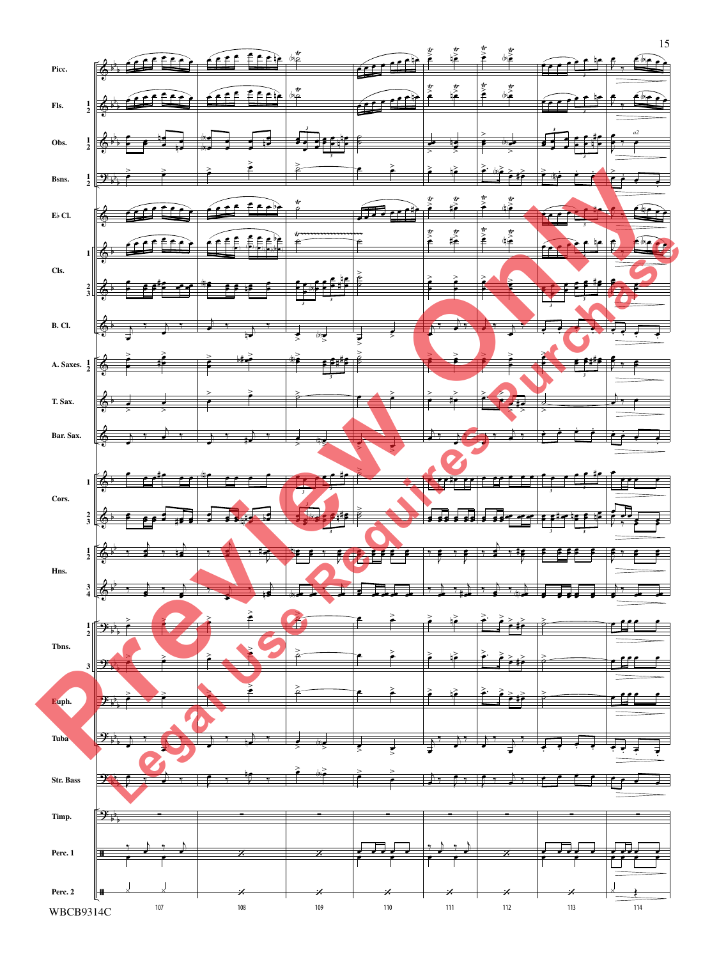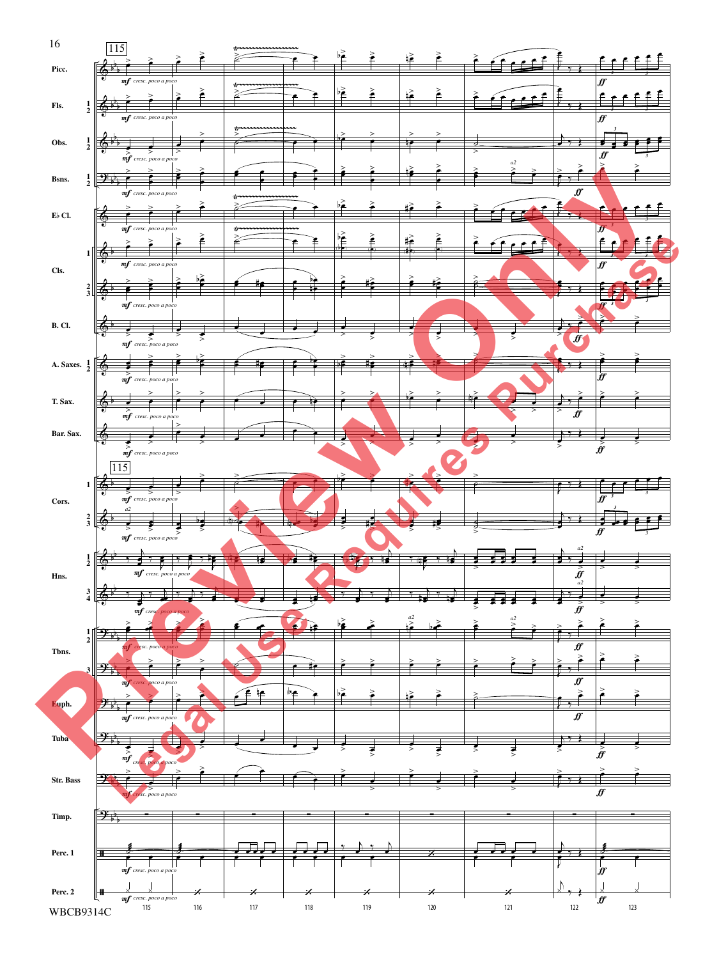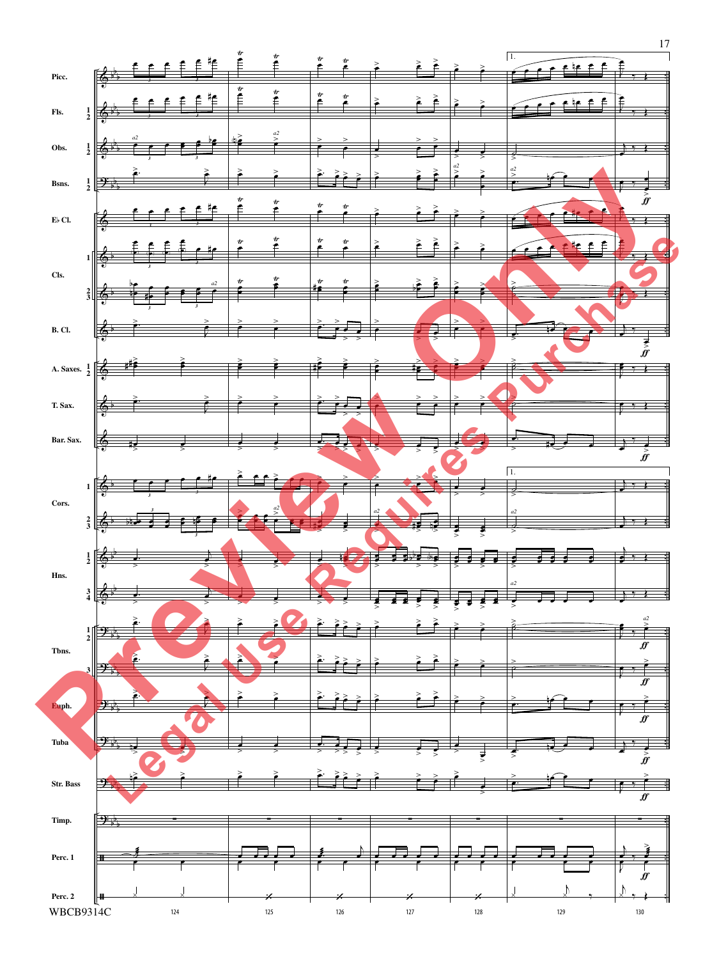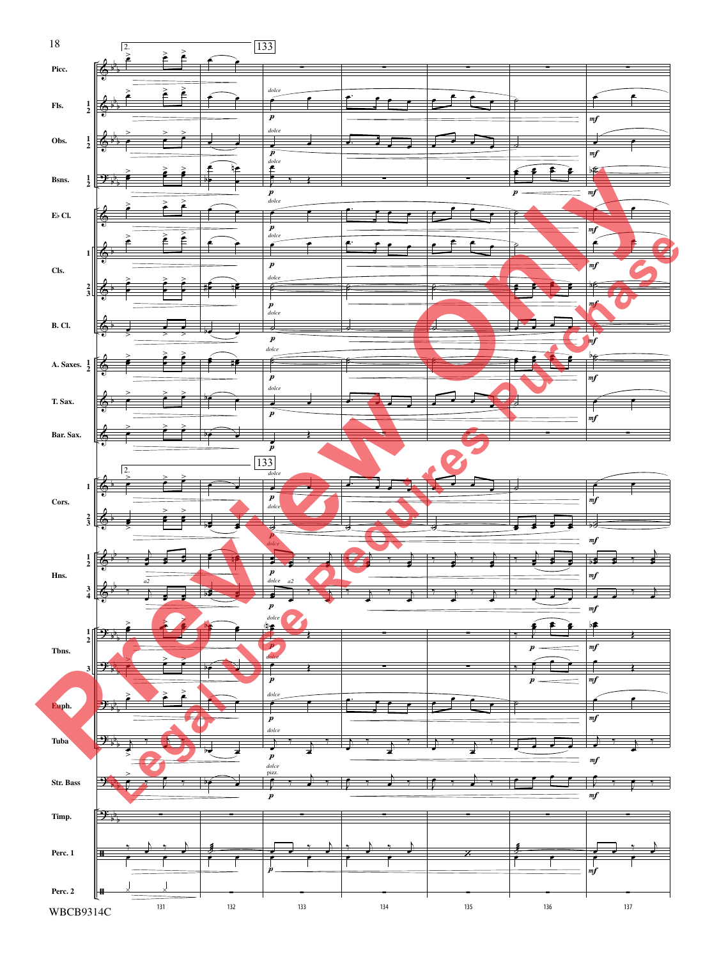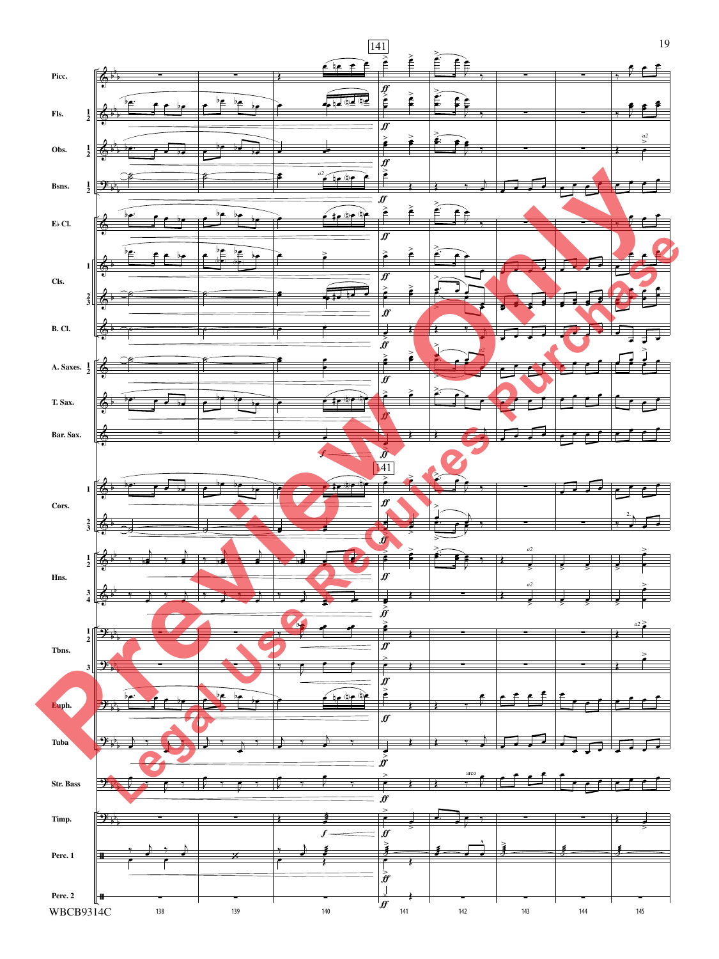